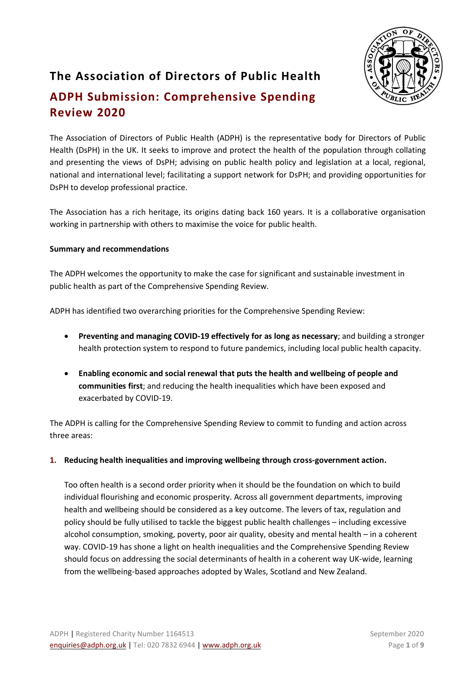

# **The Association of Directors of Public Health ADPH Submission: Comprehensive Spending Review 2020**

The Association of Directors of Public Health (ADPH) is the representative body for Directors of Public Health (DsPH) in the UK. It seeks to improve and protect the health of the population through collating and presenting the views of DsPH; advising on public health policy and legislation at a local, regional, national and international level; facilitating a support network for DsPH; and providing opportunities for DsPH to develop professional practice.

The Association has a rich heritage, its origins dating back 160 years. It is a collaborative organisation working in partnership with others to maximise the voice for public health. 

#### **Summary and recommendations**

The ADPH welcomes the opportunity to make the case for significant and sustainable investment in public health as part of the Comprehensive Spending Review.

ADPH has identified two overarching priorities for the Comprehensive Spending Review:

- **Preventing and managing COVID-19 effectively for as long as necessary**; and building a stronger health protection system to respond to future pandemics, including local public health capacity.
- **Enabling economic and social renewal that puts the health and wellbeing of people and communities first**; and reducing the health inequalities which have been exposed and exacerbated by COVID-19.

The ADPH is calling for the Comprehensive Spending Review to commit to funding and action across three areas:

**1. Reducing health inequalities and improving wellbeing through cross-government action.**

Too often health is a second order priority when it should be the foundation on which to build individual flourishing and economic prosperity. Across all government departments, improving health and wellbeing should be considered as a key outcome. The levers of tax, regulation and policy should be fully utilised to tackle the biggest public health challenges – including excessive alcohol consumption, smoking, poverty, poor air quality, obesity and mental health – in a coherent way. COVID-19 has shone a light on health inequalities and the Comprehensive Spending Review should focus on addressing the social determinants of health in a coherent way UK-wide, learning from the wellbeing-based approaches adopted by Wales, Scotland and New Zealand.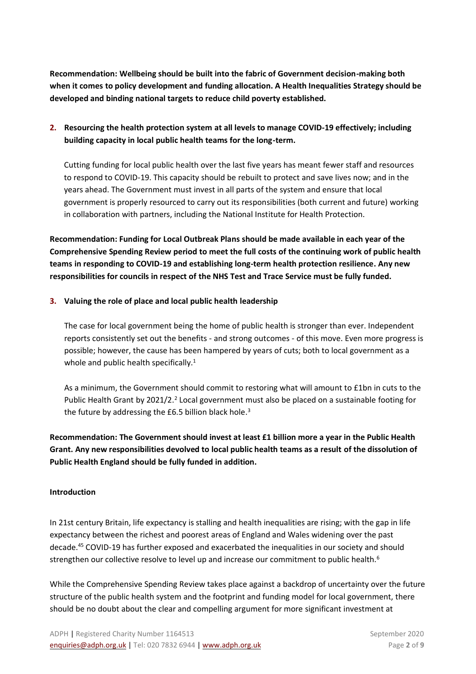**Recommendation: Wellbeing should be built into the fabric of Government decision-making both when it comes to policy development and funding allocation. A Health Inequalities Strategy should be developed and binding national targets to reduce child poverty established.** 

# **2. Resourcing the health protection system at all levels to manage COVID-19 effectively; including building capacity in local public health teams for the long-term.**

Cutting funding for local public health over the last five years has meant fewer staff and resources to respond to COVID-19. This capacity should be rebuilt to protect and save lives now; and in the years ahead. The Government must invest in all parts of the system and ensure that local government is properly resourced to carry out its responsibilities (both current and future) working in collaboration with partners, including the National Institute for Health Protection.

**Recommendation: Funding for Local Outbreak Plans should be made available in each year of the Comprehensive Spending Review period to meet the full costs of the continuing work of public health teams in responding to COVID-19 and establishing long-term health protection resilience. Any new responsibilities for councils in respect of the NHS Test and Trace Service must be fully funded.** 

#### **3. Valuing the role of place and local public health leadership**

The case for local government being the home of public health is stronger than ever. Independent reports consistently set out the benefits - and strong outcomes - of this move. Even more progress is possible; however, the cause has been hampered by years of cuts; both to local government as a whole and public health specifically.<sup>1</sup>

As a minimum, the Government should commit to restoring what will amount to £1bn in cuts to the Public Health Grant by 2021/2.<sup>2</sup> Local government must also be placed on a sustainable footing for the future by addressing the £6.5 billion black hole.<sup>3</sup>

**Recommendation: The Government should invest at least £1 billion more a year in the Public Health Grant. Any new responsibilities devolved to local public health teams as a result of the dissolution of Public Health England should be fully funded in addition.**

#### **Introduction**

In 21st century Britain, life expectancy is stalling and health inequalities are rising; with the gap in life expectancy between the richest and poorest areas of England and Wales widening over the past decade. <sup>45</sup> COVID-19 has further exposed and exacerbated the inequalities in our society and should strengthen our collective resolve to level up and increase our commitment to public health.<sup>6</sup>

While the Comprehensive Spending Review takes place against a backdrop of uncertainty over the future structure of the public health system and the footprint and funding model for local government, there should be no doubt about the clear and compelling argument for more significant investment at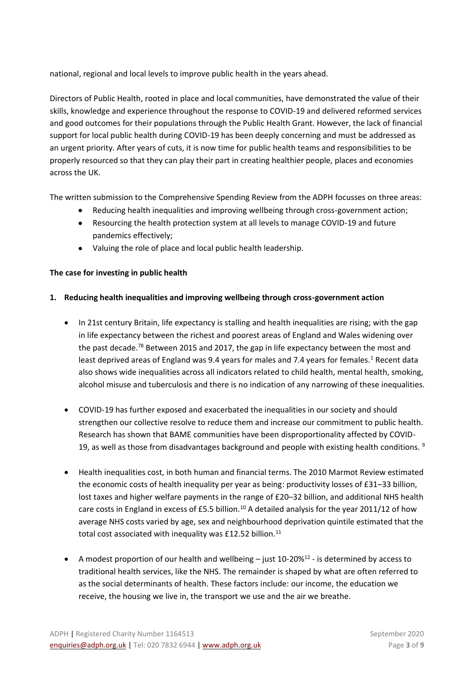national, regional and local levels to improve public health in the years ahead.

Directors of Public Health, rooted in place and local communities, have demonstrated the value of their skills, knowledge and experience throughout the response to COVID-19 and delivered reformed services and good outcomes for their populations through the Public Health Grant. However, the lack of financial support for local public health during COVID-19 has been deeply concerning and must be addressed as an urgent priority. After years of cuts, it is now time for public health teams and responsibilities to be properly resourced so that they can play their part in creating healthier people, places and economies across the UK.

The written submission to the Comprehensive Spending Review from the ADPH focusses on three areas:

- Reducing health inequalities and improving wellbeing through cross-government action;
- Resourcing the health protection system at all levels to manage COVID-19 and future pandemics effectively;
- Valuing the role of place and local public health leadership.

## **The case for investing in public health**

## **1. Reducing health inequalities and improving wellbeing through cross-government action**

- In 21st century Britain, life expectancy is stalling and health inequalities are rising; with the gap in life expectancy between the richest and poorest areas of England and Wales widening over the past decade.<sup>78</sup> Between 2015 and 2017, the gap in life expectancy between the most and least deprived areas of England was 9.4 years for males and 7.4 years for females.<sup>1</sup> Recent data also shows wide inequalities across all indicators related to child health, mental health, smoking, alcohol misuse and tuberculosis and there is no indication of any narrowing of these inequalities.
- COVID-19 has further exposed and exacerbated the inequalities in our society and should strengthen our collective resolve to reduce them and increase our commitment to public health. Research has shown that BAME communities have been disproportionality affected by COVID-19, as well as those from disadvantages background and people with existing health conditions.  $9$
- Health inequalities cost, in both human and financial terms. The 2010 Marmot Review estimated the economic costs of health inequality per year as being: productivity losses of £31–33 billion, lost taxes and higher welfare payments in the range of £20–32 billion, and additional NHS health care costs in England in excess of £5.5 billion.<sup>10</sup> A detailed analysis for the year 2011/12 of how average NHS costs varied by age, sex and neighbourhood deprivation quintile estimated that the total cost associated with inequality was £12.52 billion. $11$
- A modest proportion of our health and wellbeing just 10-20%<sup>12</sup> is determined by access to traditional health services, like the NHS. The remainder is shaped by what are often referred to as the social determinants of health. These factors include: our income, the education we receive, the housing we live in, the transport we use and the air we breathe.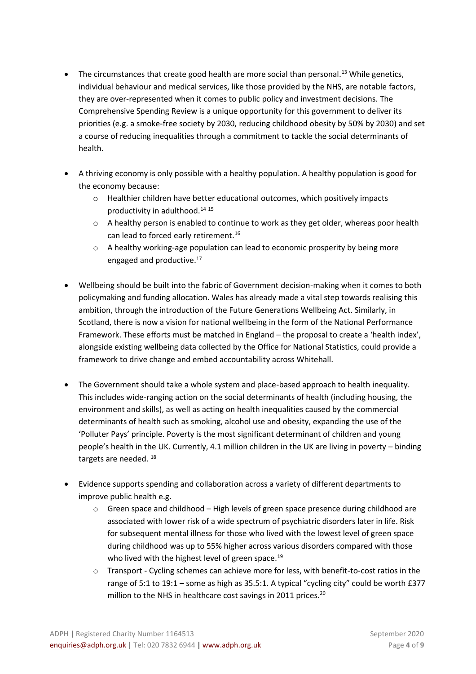- The circumstances that create good health are more social than personal.<sup>13</sup> While genetics, individual behaviour and medical services, like those provided by the NHS, are notable factors, they are over-represented when it comes to public policy and investment decisions. The Comprehensive Spending Review is a unique opportunity for this government to deliver its priorities (e.g. a smoke-free society by 2030, reducing childhood obesity by 50% by 2030) and set a course of reducing inequalities through a commitment to tackle the social determinants of health.
- A thriving economy is only possible with a healthy population. A healthy population is good for the economy because:
	- o Healthier children have better educational outcomes, which positively impacts productivity in adulthood.<sup>14</sup> <sup>15</sup>
	- o A healthy person is enabled to continue to work as they get older, whereas poor health can lead to forced early retirement.<sup>16</sup>
	- $\circ$  A healthy working-age population can lead to economic prosperity by being more engaged and productive.<sup>17</sup>
- Wellbeing should be built into the fabric of Government decision-making when it comes to both policymaking and funding allocation. Wales has already made a vital step towards realising this ambition, through the introduction of the Future Generations Wellbeing Act. Similarly, in Scotland, there is now a vision for national wellbeing in the form of the National Performance Framework. These efforts must be matched in England – the proposal to create a 'health index', alongside existing wellbeing data collected by the Office for National Statistics, could provide a framework to drive change and embed accountability across Whitehall.
- The Government should take a whole system and place-based approach to health inequality. This includes wide-ranging action on the social determinants of health (including housing, the environment and skills), as well as acting on health inequalities caused by the commercial determinants of health such as smoking, alcohol use and obesity, expanding the use of the 'Polluter Pays' principle. Poverty is the most significant determinant of children and young people's health in the UK. Currently, 4.1 million children in the UK are living in poverty – binding targets are needed.<sup>18</sup>
- Evidence supports spending and collaboration across a variety of different departments to improve public health e.g.
	- o Green space and childhood High levels of green space presence during childhood are associated with lower risk of a wide spectrum of psychiatric disorders later in life. Risk for subsequent mental illness for those who lived with the lowest level of green space during childhood was up to 55% higher across various disorders compared with those who lived with the highest level of green space.<sup>19</sup>
	- o Transport Cycling schemes can achieve more for less, with benefit-to-cost ratios in the range of 5:1 to 19:1 – some as high as 35.5:1. A typical "cycling city" could be worth £377 million to the NHS in healthcare cost savings in 2011 prices.<sup>20</sup>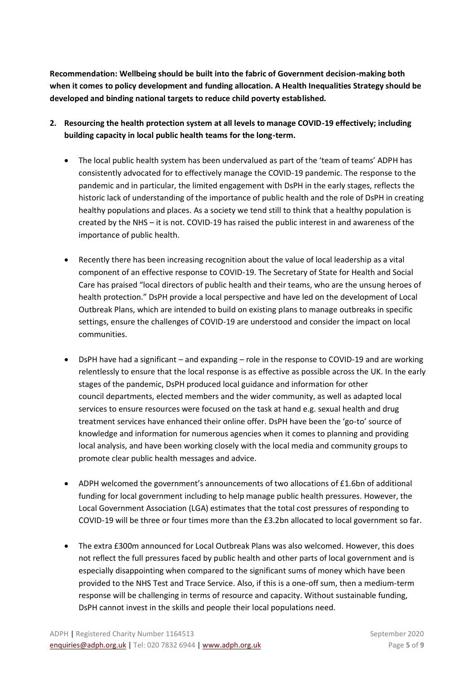**Recommendation: Wellbeing should be built into the fabric of Government decision-making both when it comes to policy development and funding allocation. A Health Inequalities Strategy should be developed and binding national targets to reduce child poverty established.**

- **2. Resourcing the health protection system at all levels to manage COVID-19 effectively; including building capacity in local public health teams for the long-term.** 
	- The local public health system has been undervalued as part of the 'team of teams' ADPH has consistently advocated for to effectively manage the COVID-19 pandemic. The response to the pandemic and in particular, the limited engagement with DsPH in the early stages, reflects the historic lack of understanding of the importance of public health and the role of DsPH in creating healthy populations and places. As a society we tend still to think that a healthy population is created by the NHS – it is not. COVID-19 has raised the public interest in and awareness of the importance of public health.
	- Recently there has been increasing recognition about the value of local leadership as a vital component of an effective response to COVID-19. The Secretary of State for Health and Social Care has praised "local directors of public health and their teams, who are the unsung heroes of health protection." DsPH provide a local perspective and have led on the development of Local Outbreak Plans, which are intended to build on existing plans to manage outbreaks in specific settings, ensure the challenges of COVID-19 are understood and consider the impact on local communities.
	- DsPH have had a significant and expanding role in the response to COVID-19 and are working relentlessly to ensure that the local response is as effective as possible across the UK. In the early stages of the pandemic, DsPH produced local guidance and information for other council departments, elected members and the wider community, as well as adapted local services to ensure resources were focused on the task at hand e.g. sexual health and drug treatment services have enhanced their online offer. DsPH have been the 'go-to' source of knowledge and information for numerous agencies when it comes to planning and providing local analysis, and have been working closely with the local media and community groups to promote clear public health messages and advice.
	- ADPH welcomed the government's announcements of two allocations of £1.6bn of additional funding for local government including to help manage public health pressures. However, the Local Government Association (LGA) estimates that the total cost pressures of responding to COVID-19 will be three or four times more than the £3.2bn allocated to local government so far.
	- The extra £300m announced for Local Outbreak Plans was also welcomed. However, this does not reflect the full pressures faced by public health and other parts of local government and is especially disappointing when compared to the significant sums of money which have been provided to the NHS Test and Trace Service. Also, if this is a one-off sum, then a medium-term response will be challenging in terms of resource and capacity. Without sustainable funding, DsPH cannot invest in the skills and people their local populations need.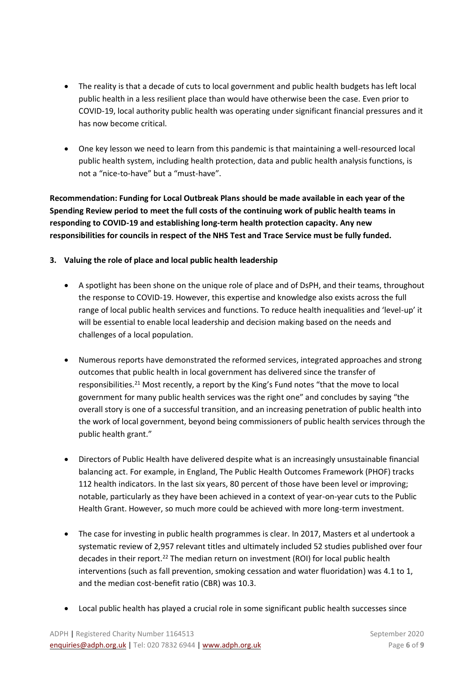- The reality is that a decade of cuts to local government and public health budgets has left local public health in a less resilient place than would have otherwise been the case. Even prior to COVID-19, local authority public health was operating under significant financial pressures and it has now become critical.
- One key lesson we need to learn from this pandemic is that maintaining a well-resourced local public health system, including health protection, data and public health analysis functions, is not a "nice-to-have" but a "must-have".

**Recommendation: Funding for Local Outbreak Plans should be made available in each year of the Spending Review period to meet the full costs of the continuing work of public health teams in responding to COVID-19 and establishing long-term health protection capacity. Any new responsibilities for councils in respect of the NHS Test and Trace Service must be fully funded.** 

# **3. Valuing the role of place and local public health leadership**

- A spotlight has been shone on the unique role of place and of DsPH, and their teams, throughout the response to COVID-19. However, this expertise and knowledge also exists across the full range of local public health services and functions. To reduce health inequalities and 'level-up' it will be essential to enable local leadership and decision making based on the needs and challenges of a local population.
- Numerous reports have demonstrated the reformed services, integrated approaches and strong outcomes that public health in local government has delivered since the transfer of responsibilities.<sup>21</sup> Most recently, a report by the King's Fund notes "that the move to local government for many public health services was the right one" and concludes by saying "the overall story is one of a successful transition, and an increasing penetration of public health into the work of local government, beyond being commissioners of public health services through the public health grant."
- Directors of Public Health have delivered despite what is an increasingly unsustainable financial balancing act. For example, in England, The Public Health Outcomes Framework (PHOF) tracks 112 health indicators. In the last six years, 80 percent of those have been level or improving; notable, particularly as they have been achieved in a context of year-on-year cuts to the Public Health Grant. However, so much more could be achieved with more long-term investment.
- The case for investing in public health programmes is clear. In 2017, Masters et al undertook a systematic review of 2,957 relevant titles and ultimately included 52 studies published over four decades in their report.<sup>22</sup> The median return on investment (ROI) for local public health interventions (such as fall prevention, smoking cessation and water fluoridation) was 4.1 to 1, and the median cost-benefit ratio (CBR) was 10.3.
- Local public health has played a crucial role in some significant public health successes since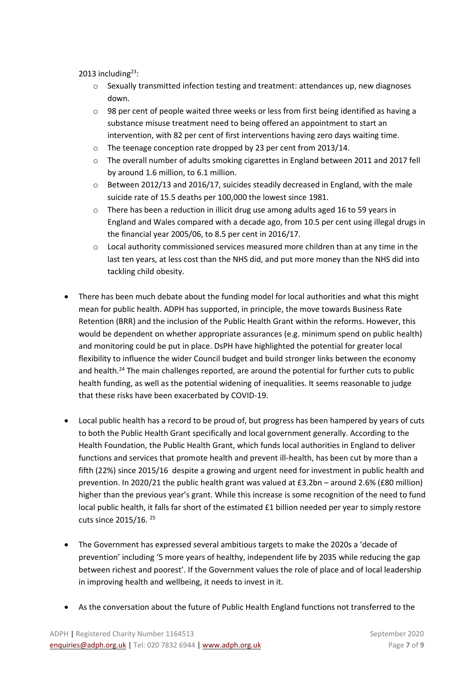2013 including $23$ :

- $\circ$  Sexually transmitted infection testing and treatment: attendances up, new diagnoses down.
- $\circ$  98 per cent of people waited three weeks or less from first being identified as having a substance misuse treatment need to being offered an appointment to start an intervention, with 82 per cent of first interventions having zero days waiting time.
- o The teenage conception rate dropped by 23 per cent from 2013/14.
- $\circ$  The overall number of adults smoking cigarettes in England between 2011 and 2017 fell by around 1.6 million, to 6.1 million.
- $\circ$  Between 2012/13 and 2016/17, suicides steadily decreased in England, with the male suicide rate of 15.5 deaths per 100,000 the lowest since 1981.
- $\circ$  There has been a reduction in illicit drug use among adults aged 16 to 59 years in England and Wales compared with a decade ago, from 10.5 per cent using illegal drugs in the financial year 2005/06, to 8.5 per cent in 2016/17.
- $\circ$  Local authority commissioned services measured more children than at any time in the last ten years, at less cost than the NHS did, and put more money than the NHS did into tackling child obesity.
- There has been much debate about the funding model for local authorities and what this might mean for public health. ADPH has supported, in principle, the move towards Business Rate Retention (BRR) and the inclusion of the Public Health Grant within the reforms. However, this would be dependent on whether appropriate assurances (e.g. minimum spend on public health) and monitoring could be put in place. DsPH have highlighted the potential for greater local flexibility to influence the wider Council budget and build stronger links between the economy and health.<sup>24</sup> The main challenges reported, are around the potential for further cuts to public health funding, as well as the potential widening of inequalities. It seems reasonable to judge that these risks have been exacerbated by COVID-19.
- Local public health has a record to be proud of, but progress has been hampered by years of cuts to both the Public Health Grant specifically and local government generally. According to the Health Foundation, the Public Health Grant, which funds local authorities in England to deliver functions and services that promote health and prevent ill-health, has been cut by more than a fifth (22%) since 2015/16 despite a growing and urgent need for investment in public health and prevention. In 2020/21 the public health grant was valued at £3.2bn – around 2.6% (£80 million) higher than the previous year's grant. While this increase is some recognition of the need to fund local public health, it falls far short of the estimated £1 billion needed per year to simply restore cuts since 2015/16. 25
- The Government has expressed several ambitious targets to make the 2020s a 'decade of prevention' including '5 more years of healthy, independent life by 2035 while reducing the gap between richest and poorest'. If the Government values the role of place and of local leadership in improving health and wellbeing, it needs to invest in it.
- As the conversation about the future of Public Health England functions not transferred to the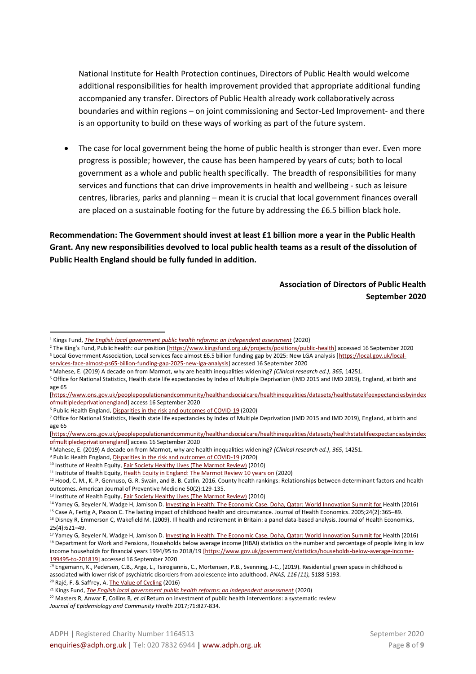National Institute for Health Protection continues, Directors of Public Health would welcome additional responsibilities for health improvement provided that appropriate additional funding accompanied any transfer. Directors of Public Health already work collaboratively across boundaries and within regions – on joint commissioning and Sector-Led Improvement- and there is an opportunity to build on these ways of working as part of the future system.

• The case for local government being the home of public health is stronger than ever. Even more progress is possible; however, the cause has been hampered by years of cuts; both to local government as a whole and public health specifically. The breadth of responsibilities for many services and functions that can drive improvements in health and wellbeing - such as leisure centres, libraries, parks and planning – mean it is crucial that local government finances overall are placed on a sustainable footing for the future by addressing the £6.5 billion black hole.

**Recommendation: The Government should invest at least £1 billion more a year in the Public Health Grant. Any new responsibilities devolved to local public health teams as a result of the dissolution of Public Health England should be fully funded in addition.**

### **Association of Directors of Public Health September 2020**

- <sup>2</sup> The King's Fund, Public health: our position [https://www.kingsfund.org.uk/projects/positions/public-health] accessed 16 September 2020
- <sup>3</sup> Local Government Association, Local services face almost £6.5 billion funding gap by 2025: New LGA analysis [https://local.gov.uk/localservices-face-almost-ps65-billion-funding-gap-2025-new-lga-analysis] accessed 16 September 2020
- <sup>4</sup> Mahese, E. (2019) A decade on from Marmot, why are health inequalities widening? *(Clinical research ed.)*, *365*, 14251. <sup>5</sup> Office for National Statistics, Health state life expectancies by Index of Multiple Deprivation (IMD 2015 and IMD 2019), England, at birth and
- age 65

- <sup>8</sup> Mahese, E. (2019) A decade on from Marmot, why are health inequalities widening? *(Clinical research ed.)*, *365*, 14251.
- <sup>9</sup> Public Health England[, Disparities in the risk and outcomes of COVID-19](https://assets.publishing.service.gov.uk/government/uploads/system/uploads/attachment_data/file/908434/Disparities_in_the_risk_and_outcomes_of_COVID_August_2020_update.pdf) (2020)

<sup>10</sup> Institute of Health Equity, *Fair Society Healthy Lives (The Marmot Review)* (2010)

<sup>11</sup> Institute of Health Equity[, Health Equity in England: The Marmot Review 10 years on](http://www.instituteofhealthequity.org/resources-reports/marmot-review-10-years-on) (2020)

<sup>20</sup> Rajé, F. & Saffrey, A. [The Value of Cycling](https://assets.publishing.service.gov.uk/government/uploads/system/uploads/attachment_data/file/509587/value-of-cycling.pdf) (2016)

<sup>1</sup> Kings Fund, *[The English local government public health reforms: an independent assessment](https://www.kingsfund.org.uk/sites/default/files/2020-01/LGA%20PH%20reforms%20-%20final.pdf)* (2020)

<sup>[</sup>https://www.ons.gov.uk/peoplepopulationandcommunity/healthandsocialcare/healthinequalities/datasets/healthstatelifeexpectanciesbyindex ofmultipledeprivationengland] access 16 September 2020

<sup>6</sup> Public Health England[, Disparities in the risk and outcomes of COVID-19](https://assets.publishing.service.gov.uk/government/uploads/system/uploads/attachment_data/file/908434/Disparities_in_the_risk_and_outcomes_of_COVID_August_2020_update.pdf) (2020)

<sup>7</sup> Office for National Statistics, Health state life expectancies by Index of Multiple Deprivation (IMD 2015 and IMD 2019), England, at birth and age 65

<sup>[</sup>https://www.ons.gov.uk/peoplepopulationandcommunity/healthandsocialcare/healthinequalities/datasets/healthstatelifeexpectanciesbyindex ofmultipledeprivationengland] access 16 September 2020

<sup>&</sup>lt;sup>12</sup> Hood, C. M., K. P. Gennuso, G. R. Swain, and B. B. Catlin. 2016. County health rankings: Relationships between determinant factors and health outcomes. American Journal of Preventive Medicine 50(2):129-135.

<sup>&</sup>lt;sup>13</sup> Institute of Health Equity[, Fair Society Healthy Lives \(The Marmot Review\)](http://www.instituteofhealthequity.org/resources-reports/fair-society-healthy-lives-the-marmot-review) (2010)

<sup>&</sup>lt;sup>14</sup> Yamey G, Beyeler N, Wadge H, Jamison D[. Investing in Health: The Economic Case. Doha, Qatar: World Innovation Summit for](http://globalhealth2035.org/sites/default/files/investing-in-health-economic-case.pdf) Health (2016)

<sup>15</sup> Case A, Fertig A, Paxson C. The lasting impact of childhood health and circumstance. Journal of Health Economics. 2005;24(2):365–89.

<sup>&</sup>lt;sup>16</sup> Disney R, Emmerson C, Wakefield M. (2009). Ill health and retirement in Britain: a panel data-based analysis. Journal of Health Economics, 25(4):621–49.

<sup>&</sup>lt;sup>17</sup> Yamey G, Beyeler N, Wadge H, Jamison D[. Investing in Health: The Economic Case. Doha, Qatar: World Innovation Summit for](http://globalhealth2035.org/sites/default/files/investing-in-health-economic-case.pdf) Health (2016) <sup>18</sup> Department for Work and Pensions, Households below average income (HBAI) statistics on the number and percentage of people living in low income households for financial years 1994/95 to 2018/19 [https://www.gov.uk/government/statistics/households-below-average-income-199495-to-201819] accessed 16 September 2020

*<sup>19</sup>* Engemann, K., Pedersen, C.B., Arge, L., Tsirogiannis, C., Mortensen, P.B., Svenning, J-C., (2019). Residential green space in childhood is associated with lower risk of psychiatric disorders from adolescence into adulthood. *PNAS, 116 (11),* 5188-5193.

<sup>21</sup> Kings Fund, *[The English local government public health reforms: an independent assessment](https://www.kingsfund.org.uk/sites/default/files/2020-01/LGA%20PH%20reforms%20-%20final.pdf)* (2020)

<sup>22</sup> Masters R, Anwar E, Collins B*, et al* Return on investment of public health interventions: a systematic review *Journal of Epidemiology and Community Health* 2017;71:827-834.